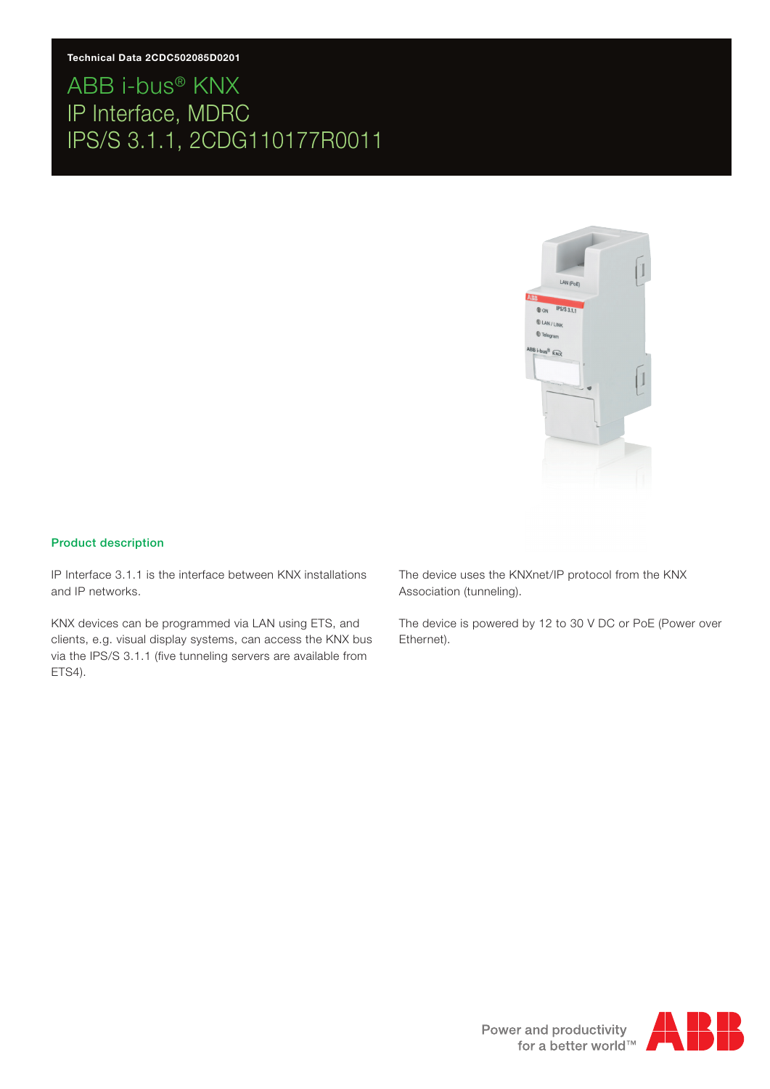

#### Product description

IP Interface 3.1.1 is the interface between KNX installations and IP networks.

KNX devices can be programmed via LAN using ETS, and clients, e.g. visual display systems, can access the KNX bus via the IPS/S 3.1.1 (five tunneling servers are available from ETS4).

The device uses the KNXnet/IP protocol from the KNX Association (tunneling).

The device is powered by 12 to 30 V DC or PoE (Power over Ethernet).

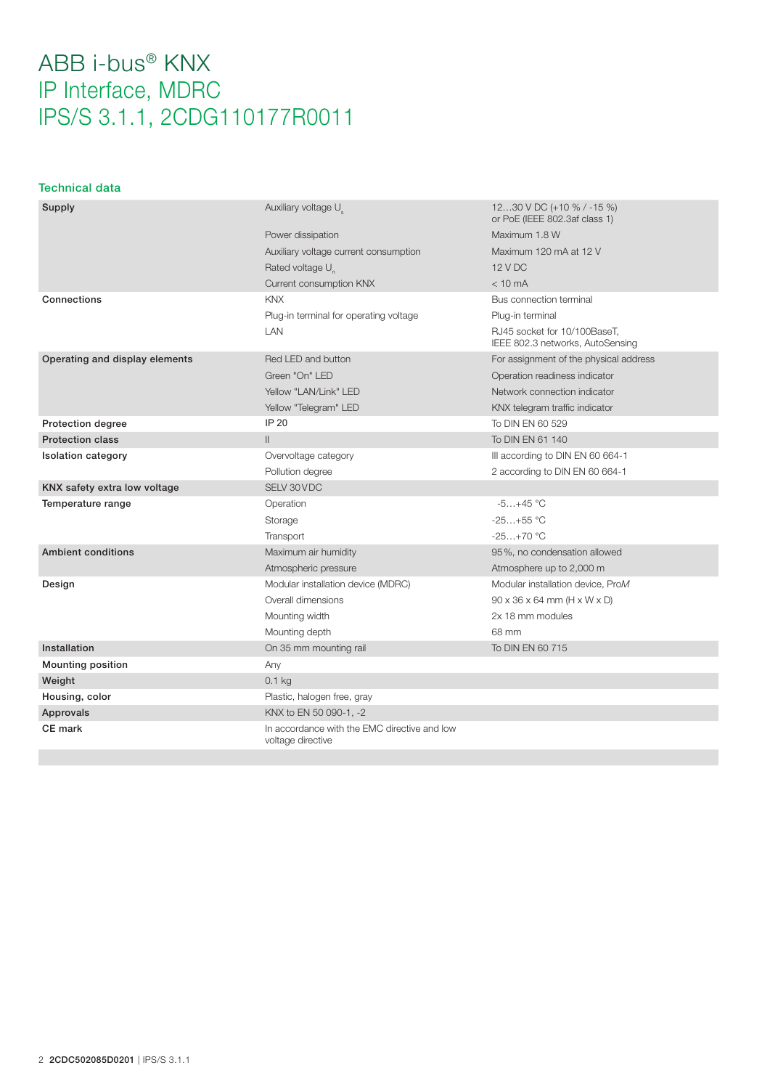#### Technical data

| Supply                         | Auxiliary voltage U                                               | 1230 V DC (+10 % / -15 %)<br>or PoE (IEEE 802.3af class 1)       |
|--------------------------------|-------------------------------------------------------------------|------------------------------------------------------------------|
|                                | Power dissipation                                                 | Maximum 1.8 W                                                    |
|                                | Auxiliary voltage current consumption                             | Maximum 120 mA at 12 V                                           |
|                                | Rated voltage U <sub>n</sub>                                      | 12 V DC                                                          |
|                                | Current consumption KNX                                           | $< 10 \text{ mA}$                                                |
| Connections                    | <b>KNX</b>                                                        | Bus connection terminal                                          |
|                                | Plug-in terminal for operating voltage                            | Plug-in terminal                                                 |
|                                | <b>LAN</b>                                                        | RJ45 socket for 10/100BaseT,<br>IEEE 802.3 networks, AutoSensing |
| Operating and display elements | Red LED and button                                                | For assignment of the physical address                           |
|                                | Green "On" LED                                                    | Operation readiness indicator                                    |
|                                | Yellow "LAN/Link" LED                                             | Network connection indicator                                     |
|                                | Yellow "Telegram" LED                                             | KNX telegram traffic indicator                                   |
| <b>Protection degree</b>       | IP 20                                                             | To DIN EN 60 529                                                 |
| <b>Protection class</b>        | $\mathbf{II}$                                                     | To DIN EN 61 140                                                 |
| <b>Isolation category</b>      | Overvoltage category                                              | III according to DIN EN 60 664-1                                 |
|                                | Pollution degree                                                  | 2 according to DIN EN 60 664-1                                   |
| KNX safety extra low voltage   | SELV 30 VDC                                                       |                                                                  |
| Temperature range              | Operation                                                         | $-5+45$ °C                                                       |
|                                | Storage                                                           | $-25+55$ °C                                                      |
|                                | Transport                                                         | $-25+70$ °C                                                      |
| <b>Ambient conditions</b>      | Maximum air humidity                                              | 95%, no condensation allowed                                     |
|                                | Atmospheric pressure                                              | Atmosphere up to 2,000 m                                         |
| Design                         | Modular installation device (MDRC)                                | Modular installation device, ProM                                |
|                                | Overall dimensions                                                | $90 \times 36 \times 64$ mm (H $\times$ W $\times$ D)            |
|                                | Mounting width                                                    | 2x 18 mm modules                                                 |
|                                | Mounting depth                                                    | 68 mm                                                            |
| Installation                   | On 35 mm mounting rail                                            | To DIN EN 60 715                                                 |
| <b>Mounting position</b>       | Any                                                               |                                                                  |
| Weight                         | $0.1$ kg                                                          |                                                                  |
| Housing, color                 | Plastic, halogen free, gray                                       |                                                                  |
| Approvals                      | KNX to EN 50 090-1, -2                                            |                                                                  |
| CE mark                        | In accordance with the EMC directive and low<br>voltage directive |                                                                  |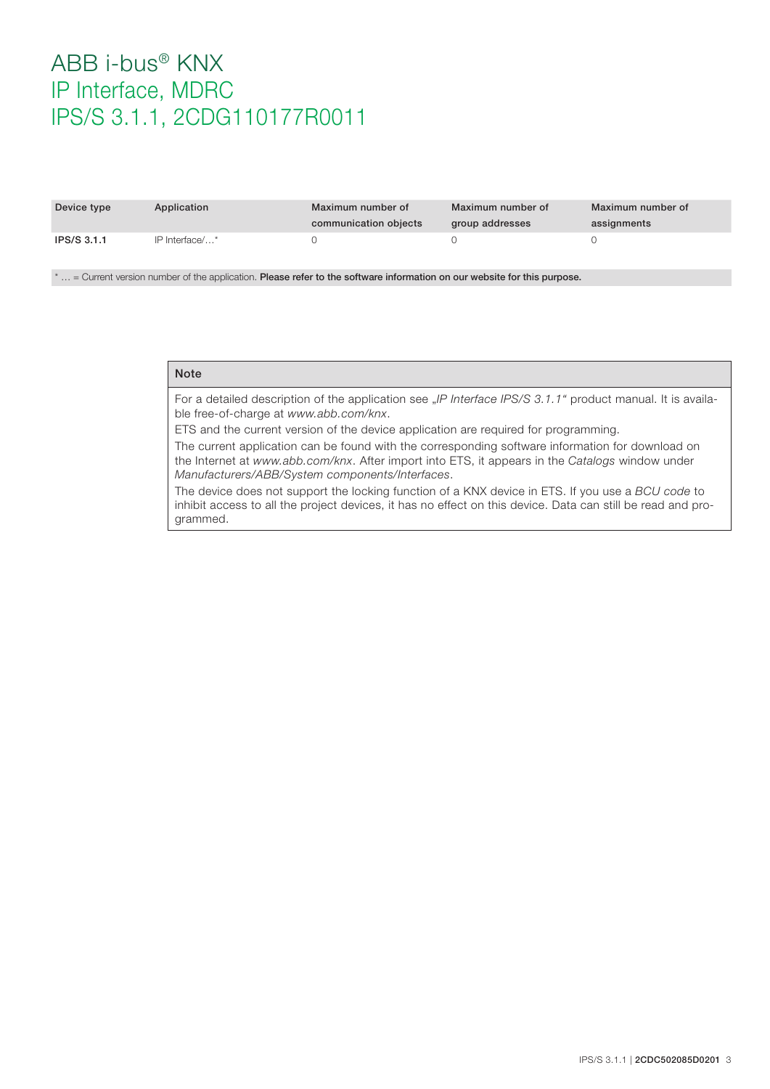| Device type        | Application    | Maximum number of<br>communication objects | Maximum number of<br>group addresses | Maximum number of<br>assignments |
|--------------------|----------------|--------------------------------------------|--------------------------------------|----------------------------------|
| <b>IPS/S 3.1.1</b> | IP Interface/* |                                            |                                      |                                  |

\* … = Current version number of the application. Please refer to the software information on our website for this purpose.

#### Note

For a detailed description of the application see "*IP Interface IPS/S 3.1.1*" product manual. It is available free-of-charge at *www.abb.com/knx*.

ETS and the current version of the device application are required for programming.

The current application can be found with the corresponding software information for download on the Internet at *www.abb.com/knx*. After import into ETS, it appears in the *Catalogs* window under *Manufacturers/ABB/System components/Interfaces*.

The device does not support the locking function of a KNX device in ETS. If you use a *BCU code* to inhibit access to all the project devices, it has no effect on this device. Data can still be read and programmed.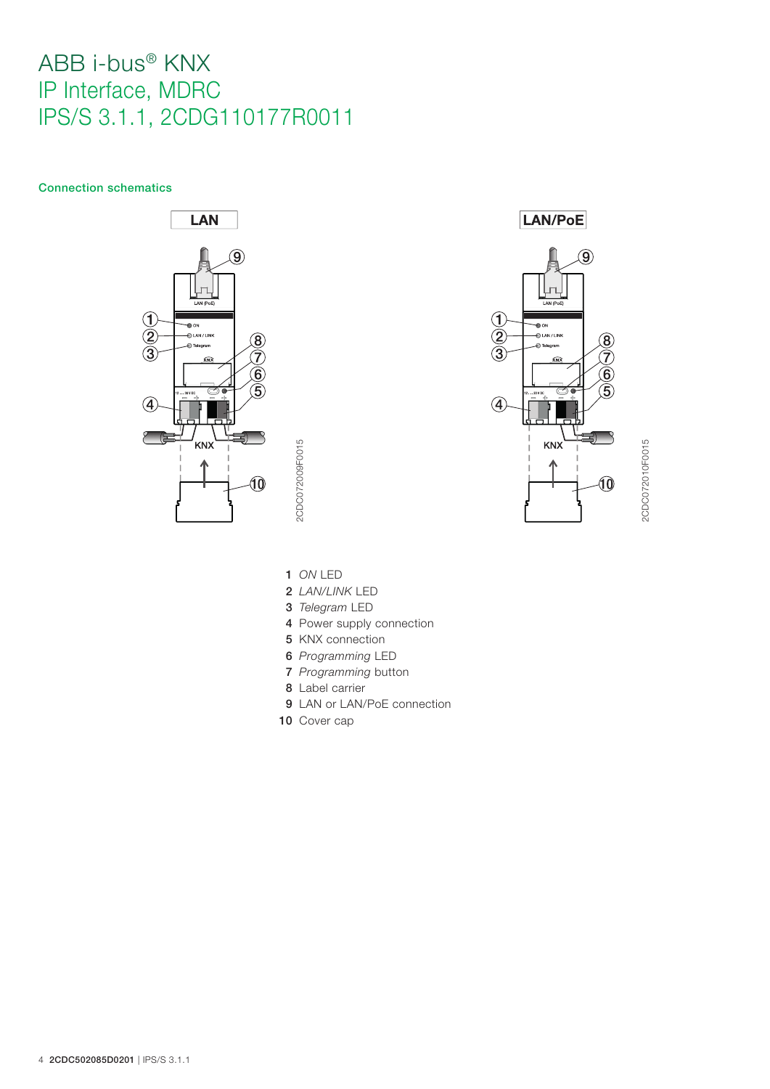#### Connection schematics







2CDC072010F0015 2CDC072010F0015

1 *ON* LED

2CDC072009F0015

2CDC072009F0015

- 2 *LAN/LINK* LED
- 3 *Telegram* LED
- 4 Power supply connection
- 5 KNX connection
- 6 *Programming* LED
- 7 *Programming* button
- 8 Label carrier
- 9 LAN or LAN/PoE connection
- 10 Cover cap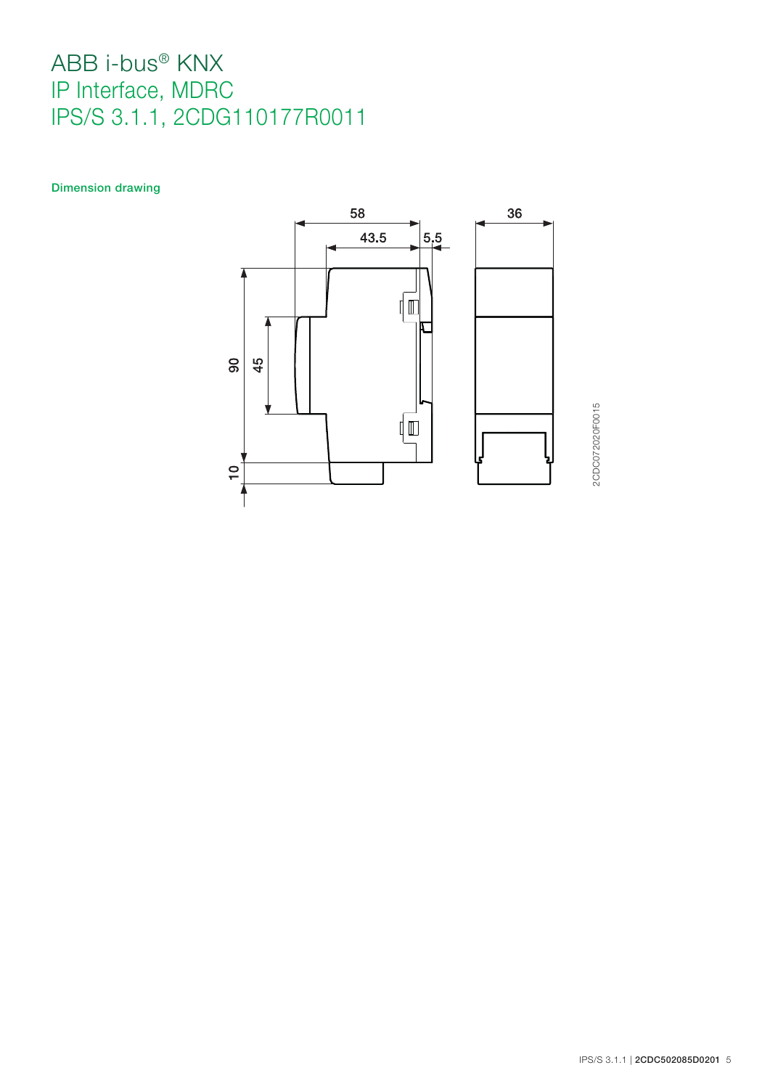Dimension drawing